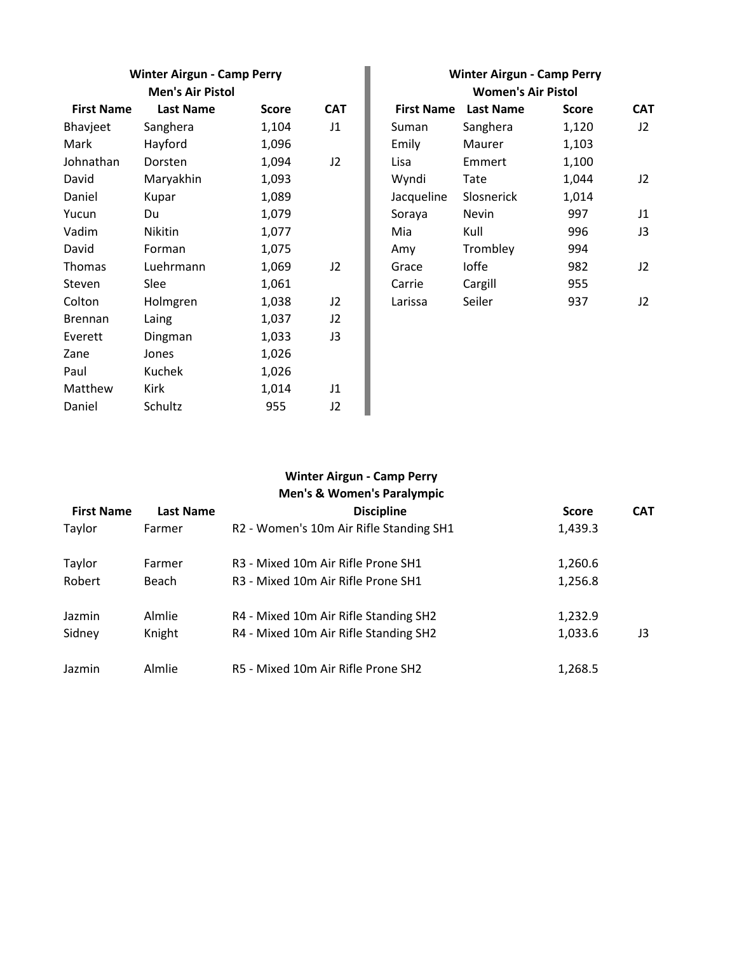| <b>Winter Airgun - Camp Perry</b><br><b>Men's Air Pistol</b> |           |       |                | <b>Winter Airgun - Camp Perry</b><br><b>Women's Air Pistol</b> |            |       |    |
|--------------------------------------------------------------|-----------|-------|----------------|----------------------------------------------------------------|------------|-------|----|
|                                                              |           |       |                |                                                                |            |       |    |
| Bhavjeet                                                     | Sanghera  | 1,104 | J <sub>1</sub> | Suman                                                          | Sanghera   | 1,120 | J2 |
| Mark                                                         | Hayford   | 1,096 |                | Emily                                                          | Maurer     | 1,103 |    |
| Johnathan                                                    | Dorsten   | 1,094 | J2             | Lisa                                                           | Emmert     | 1,100 |    |
| David                                                        | Maryakhin | 1,093 |                | Wyndi                                                          | Tate       | 1,044 | J2 |
| Daniel                                                       | Kupar     | 1,089 |                | Jacqueline                                                     | Slosnerick | 1,014 |    |
| Yucun                                                        | Du        | 1,079 |                | Soraya                                                         | Nevin      | 997   | J1 |
| Vadim                                                        | Nikitin   | 1,077 |                | Mia                                                            | Kull       | 996   | J3 |
| David                                                        | Forman    | 1,075 |                | Amy                                                            | Trombley   | 994   |    |
| Thomas                                                       | Luehrmann | 1,069 | J2             | Grace                                                          | loffe      | 982   | J2 |
| Steven                                                       | Slee      | 1,061 |                | Carrie                                                         | Cargill    | 955   |    |
| Colton                                                       | Holmgren  | 1,038 | J2             | Larissa                                                        | Seiler     | 937   | J2 |
| <b>Brennan</b>                                               | Laing     | 1,037 | J2             |                                                                |            |       |    |
| Everett                                                      | Dingman   | 1,033 | J3             |                                                                |            |       |    |
| Zane                                                         | Jones     | 1,026 |                |                                                                |            |       |    |
| Paul                                                         | Kuchek    | 1,026 |                |                                                                |            |       |    |
| Matthew                                                      | Kirk      | 1,014 | J1             |                                                                |            |       |    |
| Daniel                                                       | Schultz   | 955   | J2             |                                                                |            |       |    |

| <b>Winter Airgun - Camp Perry</b><br><b>Women's Air Pistol</b> |                             |       |            |  |  |  |
|----------------------------------------------------------------|-----------------------------|-------|------------|--|--|--|
|                                                                | <b>First Name</b> Last Name | Score | <b>CAT</b> |  |  |  |
| Suman                                                          | Sanghera                    | 1,120 | J2.        |  |  |  |
| Emily                                                          | Maurer                      | 1,103 |            |  |  |  |
| Lisa                                                           | Emmert                      | 1,100 |            |  |  |  |
| Wyndi                                                          | Tate                        | 1,044 | J2         |  |  |  |
| Jacqueline                                                     | Slosnerick                  | 1,014 |            |  |  |  |
| Soraya                                                         | Nevin                       | 997   | 11         |  |  |  |
| Mia                                                            | Kull                        | 996   | J3         |  |  |  |
| Amy                                                            | Trombley                    | 994   |            |  |  |  |
| Grace                                                          | Ioffe                       | 982   | 12         |  |  |  |
| Carrie                                                         | Cargill                     | 955   |            |  |  |  |
| Larissa                                                        | Seiler                      | 937   | J2         |  |  |  |

## **Winter Airgun - Camp Perry**

|                   |                  | <b>Men's &amp; Women's Paralympic</b>                      |              |            |
|-------------------|------------------|------------------------------------------------------------|--------------|------------|
| <b>First Name</b> | <b>Last Name</b> | <b>Discipline</b>                                          | <b>Score</b> | <b>CAT</b> |
| Taylor            | Farmer           | R2 - Women's 10m Air Rifle Standing SH1                    | 1,439.3      |            |
| Taylor            | Farmer           | R <sub>3</sub> - Mixed 10m Air Rifle Prone SH <sub>1</sub> | 1,260.6      |            |
| Robert            | Beach            | R3 - Mixed 10m Air Rifle Prone SH1                         | 1,256.8      |            |
| Jazmin            | Almlie           | R4 - Mixed 10m Air Rifle Standing SH2                      | 1,232.9      |            |
| Sidney            | Knight           | R4 - Mixed 10m Air Rifle Standing SH2                      | 1,033.6      | J3         |
| Jazmin            | Almlie           | R5 - Mixed 10m Air Rifle Prone SH2                         | 1,268.5      |            |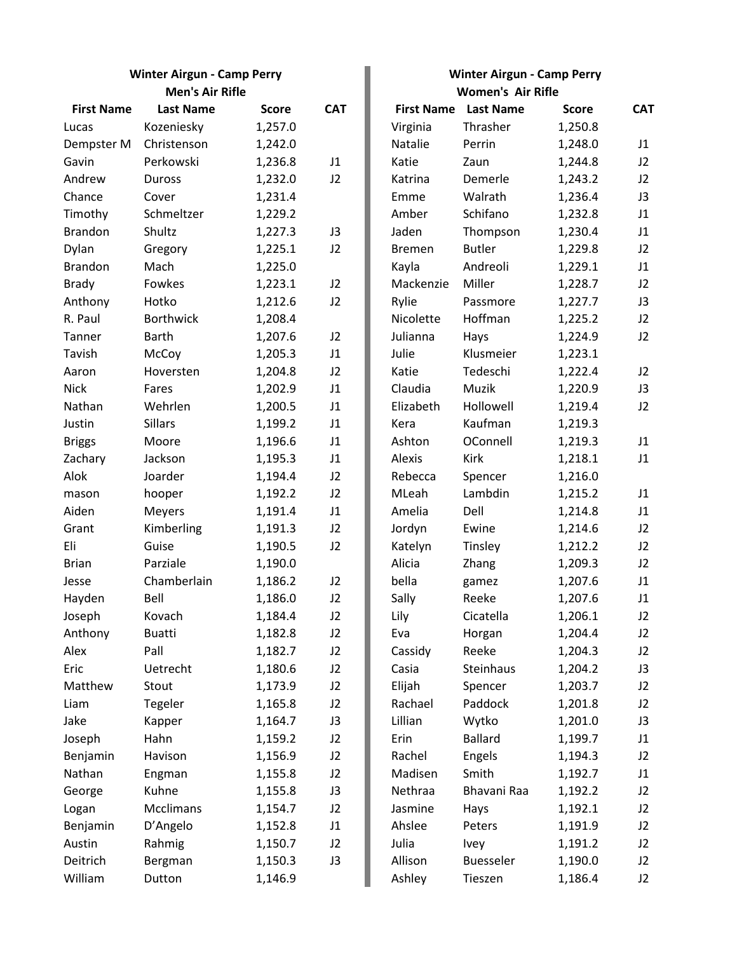| <b>Winter Airgun - Camp Perry</b> |
|-----------------------------------|
| <b>Men's Air Rifle</b>            |

| <b>First Name</b> | <b>Last Name</b> | <b>Score</b> | <b>CAT</b> |               | <b>First Name</b> Last Name | <b>Score</b> | <b>CAT</b> |
|-------------------|------------------|--------------|------------|---------------|-----------------------------|--------------|------------|
| Lucas             | Kozeniesky       | 1,257.0      |            | Virginia      | Thrasher                    | 1,250.8      |            |
| Dempster M        | Christenson      | 1,242.0      |            | Natalie       | Perrin                      | 1,248.0      | J1         |
| Gavin             | Perkowski        | 1,236.8      | J1         | Katie         | Zaun                        | 1,244.8      | J2         |
| Andrew            | Duross           | 1,232.0      | J2         | Katrina       | Demerle                     | 1,243.2      | J2         |
| Chance            | Cover            | 1,231.4      |            | Emme          | Walrath                     | 1,236.4      | J3         |
| Timothy           | Schmeltzer       | 1,229.2      |            | Amber         | Schifano                    | 1,232.8      | J1         |
| <b>Brandon</b>    | Shultz           | 1,227.3      | J3         | Jaden         | Thompson                    | 1,230.4      | J1         |
| Dylan             | Gregory          | 1,225.1      | J2         | <b>Bremen</b> | <b>Butler</b>               | 1,229.8      | J2         |
| <b>Brandon</b>    | Mach             | 1,225.0      |            | Kayla         | Andreoli                    | 1,229.1      | J1         |
| <b>Brady</b>      | Fowkes           | 1,223.1      | J2         | Mackenzie     | Miller                      | 1,228.7      | J2         |
| Anthony           | Hotko            | 1,212.6      | J2         | Rylie         | Passmore                    | 1,227.7      | J3         |
| R. Paul           | <b>Borthwick</b> | 1,208.4      |            | Nicolette     | Hoffman                     | 1,225.2      | J2         |
| Tanner            | <b>Barth</b>     | 1,207.6      | J2         | Julianna      | Hays                        | 1,224.9      | J2         |
| Tavish            | McCoy            | 1,205.3      | J1         | Julie         | Klusmeier                   | 1,223.1      |            |
| Aaron             | Hoversten        | 1,204.8      | J2         | Katie         | Tedeschi                    | 1,222.4      | J2         |
| <b>Nick</b>       | Fares            | 1,202.9      | J1         | Claudia       | Muzik                       | 1,220.9      | J3         |
| Nathan            | Wehrlen          | 1,200.5      | J1         | Elizabeth     | Hollowell                   | 1,219.4      | J2         |
| Justin            | <b>Sillars</b>   | 1,199.2      | J1         | Kera          | Kaufman                     | 1,219.3      |            |
| <b>Briggs</b>     | Moore            | 1,196.6      | J1         | Ashton        | OConnell                    | 1,219.3      | J1         |
| Zachary           | Jackson          | 1,195.3      | J1         | Alexis        | Kirk                        | 1,218.1      | J1         |
| Alok              | Joarder          | 1,194.4      | J2         | Rebecca       | Spencer                     | 1,216.0      |            |
| mason             | hooper           | 1,192.2      | J2         | MLeah         | Lambdin                     | 1,215.2      | J1         |
| Aiden             | <b>Meyers</b>    | 1,191.4      | J1         | Amelia        | Dell                        | 1,214.8      | J1         |
| Grant             | Kimberling       | 1,191.3      | J2         | Jordyn        | Ewine                       | 1,214.6      | J2         |
| Eli               | Guise            | 1,190.5      | J2         | Katelyn       | Tinsley                     | 1,212.2      | J2         |
| <b>Brian</b>      | Parziale         | 1,190.0      |            | Alicia        | Zhang                       | 1,209.3      | J2         |
| Jesse             | Chamberlain      | 1,186.2      | J2         | bella         | gamez                       | 1,207.6      | J1         |
| Hayden            | Bell             | 1,186.0      | J2         | Sally         | Reeke                       | 1,207.6      | J1         |
| Joseph            | Kovach           | 1,184.4      | J2         | Lily          | Cicatella                   | 1,206.1      | J2         |
| Anthony           | <b>Buatti</b>    | 1,182.8      | J2         | Eva           | Horgan                      | 1,204.4      | J2         |
| Alex              | Pall             | 1,182.7      | J2         | Cassidy       | Reeke                       | 1,204.3      | J2         |
| Eric              | Uetrecht         | 1,180.6      | J2         | Casia         | Steinhaus                   | 1,204.2      | J3         |
| Matthew           | Stout            | 1,173.9      | J2         | Elijah        | Spencer                     | 1,203.7      | J2         |
| Liam              | Tegeler          | 1,165.8      | J2         | Rachael       | Paddock                     | 1,201.8      | J2         |
| Jake              | Kapper           | 1,164.7      | J3         | Lillian       | Wytko                       | 1,201.0      | J3         |
| Joseph            | Hahn             | 1,159.2      | J2         | Erin          | <b>Ballard</b>              | 1,199.7      | J1         |
| Benjamin          | Havison          | 1,156.9      | J2         | Rachel        | Engels                      | 1,194.3      | J2         |
| Nathan            | Engman           | 1,155.8      | J2         | Madisen       | Smith                       | 1,192.7      | J1         |
| George            | Kuhne            | 1,155.8      | J3         | Nethraa       | Bhavani Raa                 | 1,192.2      | J2         |
| Logan             | Mcclimans        | 1,154.7      | J2         | Jasmine       | Hays                        | 1,192.1      | J2         |
| Benjamin          | D'Angelo         | 1,152.8      | J1         | Ahslee        | Peters                      | 1,191.9      | J2         |
| Austin            | Rahmig           | 1,150.7      | J2         | Julia         | Ivey                        | 1,191.2      | J2         |
| Deitrich          | Bergman          | 1,150.3      | J3         | Allison       | Buesseler                   | 1,190.0      | J2         |
| William           | Dutton           | 1,146.9      |            | Ashley        | Tieszen                     | 1,186.4      | J2         |

| <b>Winter Airgun - Camp Perry</b> |  |
|-----------------------------------|--|
| Alamania, Alu Difla               |  |

| Men's Air Rifle |              |            | <b>Women's Air Rifle</b> |                  |              |                |  |  |
|-----------------|--------------|------------|--------------------------|------------------|--------------|----------------|--|--|
| ast Name        | <b>Score</b> | <b>CAT</b> | <b>First Name</b>        | <b>Last Name</b> | <b>Score</b> | <b>CAT</b>     |  |  |
| eniesky         | 1,257.0      |            | Virginia                 | Thrasher         | 1,250.8      |                |  |  |
| stenson         | 1,242.0      |            | Natalie                  | Perrin           | 1,248.0      | J1             |  |  |
| cowski          | 1,236.8      | J1         | Katie                    | Zaun             | 1,244.8      | J2             |  |  |
| oss             | 1,232.0      | J2         | Katrina                  | Demerle          | 1,243.2      | J2             |  |  |
| er              | 1,231.4      |            | Emme                     | Walrath          | 1,236.4      | J3             |  |  |
| neltzer         | 1,229.2      |            | Amber                    | Schifano         | 1,232.8      | J1             |  |  |
| ltz             | 1,227.3      | J3         | Jaden                    | Thompson         | 1,230.4      | J1             |  |  |
| gory            | 1,225.1      | J2         | <b>Bremen</b>            | <b>Butler</b>    | 1,229.8      | J2             |  |  |
| :h              | 1,225.0      |            | Kayla                    | Andreoli         | 1,229.1      | J1             |  |  |
| kes             | 1,223.1      | J2         | Mackenzie                | Miller           | 1,228.7      | J2             |  |  |
| ko              | 1,212.6      | J2         | Rylie                    | Passmore         | 1,227.7      | J3             |  |  |
| thwick          | 1,208.4      |            | Nicolette                | Hoffman          | 1,225.2      | J2             |  |  |
| :h              | 1,207.6      | J2         | Julianna                 | Hays             | 1,224.9      | J2             |  |  |
| coy             | 1,205.3      | J1         | Julie                    | Klusmeier        | 1,223.1      |                |  |  |
| ersten          | 1,204.8      | J2         | Katie                    | Tedeschi         | 1,222.4      | J2             |  |  |
| ۶ś.             | 1,202.9      | J1         | Claudia                  | Muzik            | 1,220.9      | J3             |  |  |
| าrlen           | 1,200.5      | J1         | Elizabeth                | Hollowell        | 1,219.4      | J2             |  |  |
| rs              | 1,199.2      | J1         | Kera                     | Kaufman          | 1,219.3      |                |  |  |
| ore             | 1,196.6      | J1         | Ashton                   | OConnell         | 1,219.3      | J1             |  |  |
| son             | 1,195.3      | J1         | Alexis                   | Kirk             | 1,218.1      | J1             |  |  |
| der             | 1,194.4      | J2         | Rebecca                  | Spencer          | 1,216.0      |                |  |  |
| per             | 1,192.2      | J2         | MLeah                    | Lambdin          | 1,215.2      | J1             |  |  |
| ers             | 1,191.4      | J1         | Amelia                   | Dell             | 1,214.8      | J1             |  |  |
| berling         | 1,191.3      | J2         | Jordyn                   | Ewine            | 1,214.6      | J2             |  |  |
| ë               | 1,190.5      | J2         | Katelyn                  | Tinsley          | 1,212.2      | J2             |  |  |
| iale            | 1,190.0      |            | Alicia                   | Zhang            | 1,209.3      | J2             |  |  |
| mberlain        | 1,186.2      | J2         | bella                    | gamez            | 1,207.6      | J1             |  |  |
|                 | 1,186.0      | J2         | Sally                    | Reeke            | 1,207.6      | J1             |  |  |
| ach             | 1,184.4      | J2         | Lily                     | Cicatella        | 1,206.1      | J2             |  |  |
| tti             | 1,182.8      | J2         | Eva                      | Horgan           | 1,204.4      | J2             |  |  |
|                 | 1,182.7      | J2         | Cassidy                  | Reeke            | 1,204.3      | J2             |  |  |
| recht           | 1,180.6      | J2         | Casia                    | Steinhaus        | 1,204.2      | J3             |  |  |
| ıt              | 1,173.9      | J2         | Elijah                   | Spencer          | 1,203.7      | J2             |  |  |
| eler            | 1,165.8      | J2         | Rachael                  | Paddock          | 1,201.8      | J2             |  |  |
| per             | 1,164.7      | J3         | Lillian                  | Wytko            | 1,201.0      | J3             |  |  |
| n               | 1,159.2      | J2         | Erin                     | <b>Ballard</b>   | 1,199.7      | J1             |  |  |
| ison            | 1,156.9      | J2         | Rachel                   | Engels           | 1,194.3      | J2             |  |  |
| man             | 1,155.8      | J2         | Madisen                  | Smith            | 1,192.7      | J1             |  |  |
| ne              | 1,155.8      | J3         | Nethraa                  | Bhavani Raa      | 1,192.2      | J2             |  |  |
| limans:         | 1,154.7      | J2         | Jasmine                  | Hays             | 1,192.1      | J2             |  |  |
| ngelo           | 1,152.8      | J1         | Ahslee                   | Peters           | 1,191.9      | J2             |  |  |
| mig             | 1,150.7      | J2         | Julia                    | Ivey             | 1,191.2      | J2             |  |  |
| zman            | 1,150.3      | J3         | Allison                  | Buesseler        | 1,190.0      | J <sub>2</sub> |  |  |
|                 | 1.1100       |            |                          |                  | 1.100L       | ר ו            |  |  |